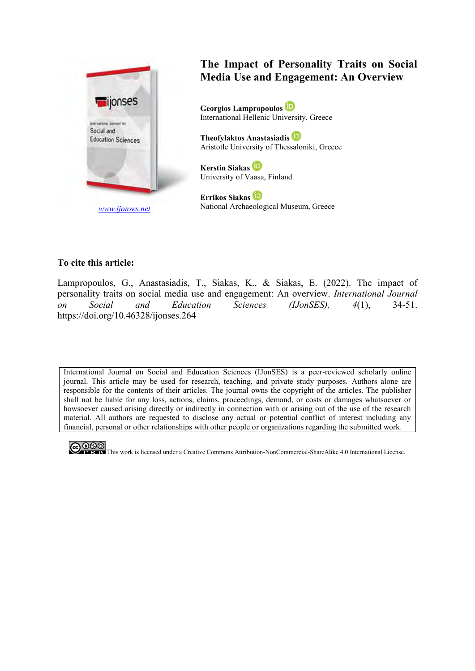

## **The Impact of Personality Traits on Social Media Use and Engagement: An Overview**

**Georgios Lampropoulos** International Hellenic University, Greece

**Theofylaktos Anastasiadis** Aristotle University of Thessaloniki, Greece

**Kerstin Siakas** University of Vaasa, Finland

**Errikos Siakas** National Archaeological Museum, Greece

#### **To cite this article:**

Lampropoulos, G., Anastasiadis, T., Siakas, K., & Siakas, E. (2022). The impact of personality traits on social media use and engagement: An overview. *International Journal on Social and Education Sciences (IJonSES), 4*(1), 34-51. https://doi.org/10.46328/ijonses.264

International Journal on Social and Education Sciences (IJonSES) is a peer-reviewed scholarly online journal. This article may be used for research, teaching, and private study purposes. Authors alone are responsible for the contents of their articles. The journal owns the copyright of the articles. The publisher shall not be liable for any loss, actions, claims, proceedings, demand, or costs or damages whatsoever or howsoever caused arising directly or indirectly in connection with or arising out of the use of the research material. All authors are requested to disclose any actual or potential conflict of interest including any financial, personal or other relationships with other people or organizations regarding the submitted work.



This work is licensed under a Creative Commons Attribution-NonCommercial-ShareAlike 4.0 International License.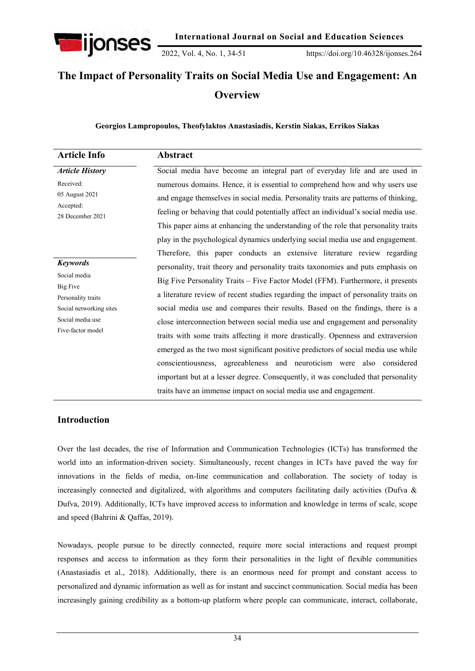

2022, Vol. 4, No. 1, 34-51 https://doi.org/10.46328/ijonses.264

# **The Impact of Personality Traits on Social Media Use and Engagement: An Overview**

**Georgios Lampropoulos, Theofylaktos Anastasiadis, Kerstin Siakas, Errikos Siakas**

| <b>Article Info</b>                                                                                                                          | Abstract                                                                                                                                                                                                                                                                                                                                                                                                                                                                                                                                                                                                                                                                                                                                                                                                                                                                                                                           |
|----------------------------------------------------------------------------------------------------------------------------------------------|------------------------------------------------------------------------------------------------------------------------------------------------------------------------------------------------------------------------------------------------------------------------------------------------------------------------------------------------------------------------------------------------------------------------------------------------------------------------------------------------------------------------------------------------------------------------------------------------------------------------------------------------------------------------------------------------------------------------------------------------------------------------------------------------------------------------------------------------------------------------------------------------------------------------------------|
| <b>Article History</b><br>Received:<br>05 August 2021<br>Accepted:<br>28 December 2021                                                       | Social media have become an integral part of everyday life and are used in<br>numerous domains. Hence, it is essential to comprehend how and why users use<br>and engage themselves in social media. Personality traits are patterns of thinking,<br>feeling or behaving that could potentially affect an individual's social media use.                                                                                                                                                                                                                                                                                                                                                                                                                                                                                                                                                                                           |
| <b>Keywords</b><br>Social media<br><b>Big Five</b><br>Personality traits<br>Social networking sites<br>Social media use<br>Five-factor model | This paper aims at enhancing the understanding of the role that personality traits<br>play in the psychological dynamics underlying social media use and engagement.<br>Therefore, this paper conducts an extensive literature review regarding<br>personality, trait theory and personality traits taxonomies and puts emphasis on<br>Big Five Personality Traits – Five Factor Model (FFM). Furthermore, it presents<br>a literature review of recent studies regarding the impact of personality traits on<br>social media use and compares their results. Based on the findings, there is a<br>close interconnection between social media use and engagement and personality<br>traits with some traits affecting it more drastically. Openness and extraversion<br>emerged as the two most significant positive predictors of social media use while<br>conscientiousness, agreeableness and neuroticism were also considered |
|                                                                                                                                              | important but at a lesser degree. Consequently, it was concluded that personality<br>traits have an immense impact on social media use and engagement.                                                                                                                                                                                                                                                                                                                                                                                                                                                                                                                                                                                                                                                                                                                                                                             |

#### **Introduction**

Over the last decades, the rise of Information and Communication Technologies (ICTs) has transformed the world into an information-driven society. Simultaneously, recent changes in ICTs have paved the way for innovations in the fields of media, on-line communication and collaboration. The society of today is increasingly connected and digitalized, with algorithms and computers facilitating daily activities (Dufva & Dufva, 2019). Additionally, ICTs have improved access to information and knowledge in terms of scale, scope and speed (Bahrini & Qaffas, 2019).

Nowadays, people pursue to be directly connected, require more social interactions and request prompt responses and access to information as they form their personalities in the light of flexible communities (Anastasiadis et al., 2018). Additionally, there is an enormous need for prompt and constant access to personalized and dynamic information as well as for instant and succinct communication. Social media has been increasingly gaining credibility as a bottom-up platform where people can communicate, interact, collaborate,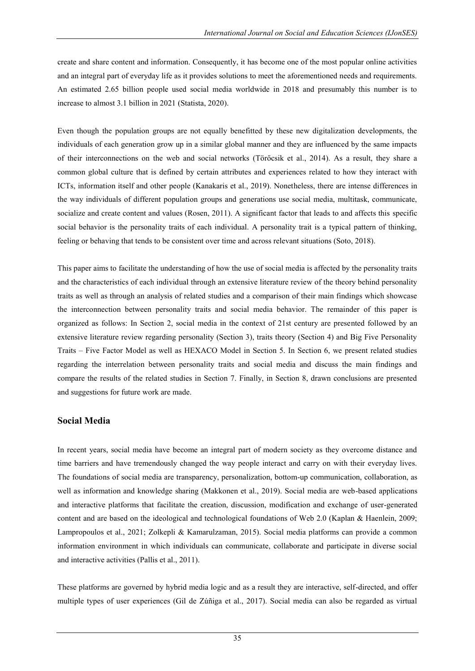create and share content and information. Consequently, it has become one of the most popular online activities and an integral part of everyday life as it provides solutions to meet the aforementioned needs and requirements. An estimated 2.65 billion people used social media worldwide in 2018 and presumably this number is to increase to almost 3.1 billion in 2021 (Statista, 2020).

Even though the population groups are not equally benefitted by these new digitalization developments, the individuals of each generation grow up in a similar global manner and they are influenced by the same impacts of their interconnections on the web and social networks (Törőcsik et al., 2014). As a result, they share a common global culture that is defined by certain attributes and experiences related to how they interact with ICTs, information itself and other people (Kanakaris et al., 2019). Nonetheless, there are intense differences in the way individuals of different population groups and generations use social media, multitask, communicate, socialize and create content and values (Rosen, 2011). A significant factor that leads to and affects this specific social behavior is the personality traits of each individual. A personality trait is a typical pattern of thinking, feeling or behaving that tends to be consistent over time and across relevant situations (Soto, 2018).

This paper aims to facilitate the understanding of how the use of social media is affected by the personality traits and the characteristics of each individual through an extensive literature review of the theory behind personality traits as well as through an analysis of related studies and a comparison of their main findings which showcase the interconnection between personality traits and social media behavior. The remainder of this paper is organized as follows: In Section 2, social media in the context of 21st century are presented followed by an extensive literature review regarding personality (Section 3), traits theory (Section 4) and Big Five Personality Traits – Five Factor Model as well as HEXACO Model in Section 5. In Section 6, we present related studies regarding the interrelation between personality traits and social media and discuss the main findings and compare the results of the related studies in Section 7. Finally, in Section 8, drawn conclusions are presented and suggestions for future work are made.

## **Social Media**

In recent years, social media have become an integral part of modern society as they overcome distance and time barriers and have tremendously changed the way people interact and carry on with their everyday lives. The foundations of social media are transparency, personalization, bottom-up communication, collaboration, as well as information and knowledge sharing (Makkonen et al., 2019). Social media are web-based applications and interactive platforms that facilitate the creation, discussion, modification and exchange of user-generated content and are based on the ideological and technological foundations of Web 2.0 (Kaplan & Haenlein, 2009; Lampropoulos et al., 2021; Zolkepli & Kamarulzaman, 2015). Social media platforms can provide a common information environment in which individuals can communicate, collaborate and participate in diverse social and interactive activities (Pallis et al., 2011).

These platforms are governed by hybrid media logic and as a result they are interactive, self-directed, and offer multiple types of user experiences (Gil de Zúñiga et al., 2017). Social media can also be regarded as virtual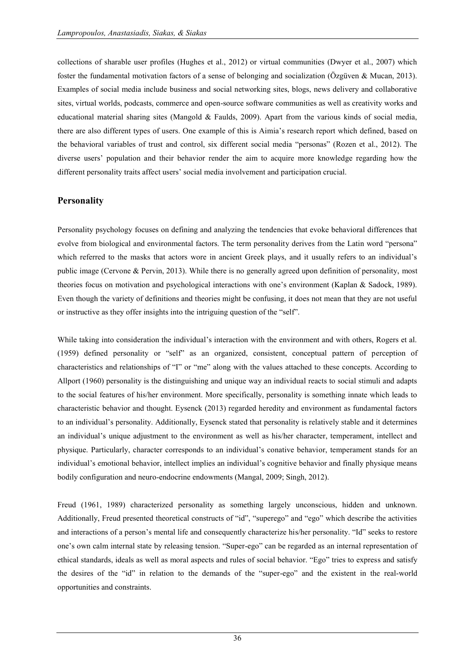collections of sharable user profiles (Hughes et al., 2012) or virtual communities (Dwyer et al., 2007) which foster the fundamental motivation factors of a sense of belonging and socialization (Özgüven & Mucan, 2013). Examples of social media include business and social networking sites, blogs, news delivery and collaborative sites, virtual worlds, podcasts, commerce and open-source software communities as well as creativity works and educational material sharing sites (Mangold & Faulds, 2009). Apart from the various kinds of social media, there are also different types of users. One example of this is Aimia's research report which defined, based on the behavioral variables of trust and control, six different social media "personas" (Rozen et al., 2012). The diverse users' population and their behavior render the aim to acquire more knowledge regarding how the different personality traits affect users' social media involvement and participation crucial.

#### **Personality**

Personality psychology focuses on defining and analyzing the tendencies that evoke behavioral differences that evolve from biological and environmental factors. The term personality derives from the Latin word "persona" which referred to the masks that actors wore in ancient Greek plays, and it usually refers to an individual's public image (Cervone & Pervin, 2013). While there is no generally agreed upon definition of personality, most theories focus on motivation and psychological interactions with one's environment (Kaplan & Sadock, 1989). Even though the variety of definitions and theories might be confusing, it does not mean that they are not useful or instructive as they offer insights into the intriguing question of the "self".

While taking into consideration the individual's interaction with the environment and with others, Rogers et al. (1959) defined personality or "self" as an organized, consistent, conceptual pattern of perception of characteristics and relationships of "I" or "me" along with the values attached to these concepts. According to Allport (1960) personality is the distinguishing and unique way an individual reacts to social stimuli and adapts to the social features of his/her environment. More specifically, personality is something innate which leads to characteristic behavior and thought. Eysenck (2013) regarded heredity and environment as fundamental factors to an individual's personality. Additionally, Eysenck stated that personality is relatively stable and it determines an individual's unique adjustment to the environment as well as his/her character, temperament, intellect and physique. Particularly, character corresponds to an individual's conative behavior, temperament stands for an individual's emotional behavior, intellect implies an individual's cognitive behavior and finally physique means bodily configuration and neuro-endocrine endowments (Mangal, 2009; Singh, 2012).

Freud (1961, 1989) characterized personality as something largely unconscious, hidden and unknown. Additionally, Freud presented theoretical constructs of "id", "superego" and "ego" which describe the activities and interactions of a person's mental life and consequently characterize his/her personality. "Id" seeks to restore one's own calm internal state by releasing tension. "Super-ego" can be regarded as an internal representation of ethical standards, ideals as well as moral aspects and rules of social behavior. "Ego" tries to express and satisfy the desires of the "id" in relation to the demands of the "super-ego" and the existent in the real-world opportunities and constraints.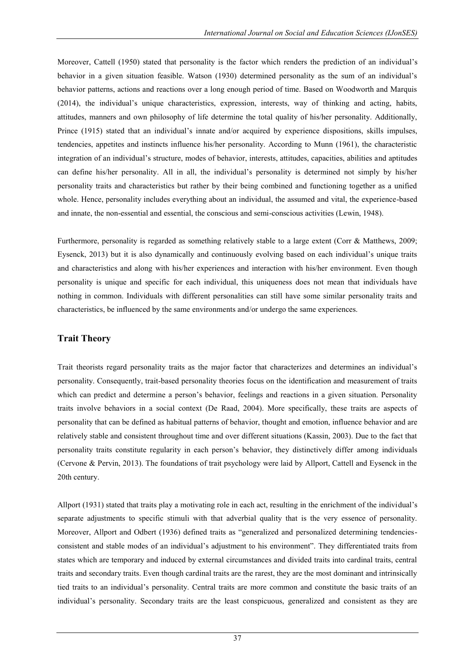Moreover, Cattell (1950) stated that personality is the factor which renders the prediction of an individual's behavior in a given situation feasible. Watson (1930) determined personality as the sum of an individual's behavior patterns, actions and reactions over a long enough period of time. Based on Woodworth and Marquis (2014), the individual's unique characteristics, expression, interests, way of thinking and acting, habits, attitudes, manners and own philosophy of life determine the total quality of his/her personality. Additionally, Prince (1915) stated that an individual's innate and/or acquired by experience dispositions, skills impulses, tendencies, appetites and instincts influence his/her personality. According to Munn (1961), the characteristic integration of an individual's structure, modes of behavior, interests, attitudes, capacities, abilities and aptitudes can define his/her personality. All in all, the individual's personality is determined not simply by his/her personality traits and characteristics but rather by their being combined and functioning together as a unified whole. Hence, personality includes everything about an individual, the assumed and vital, the experience-based and innate, the non-essential and essential, the conscious and semi-conscious activities (Lewin, 1948).

Furthermore, personality is regarded as something relatively stable to a large extent (Corr & Matthews, 2009; Eysenck, 2013) but it is also dynamically and continuously evolving based on each individual's unique traits and characteristics and along with his/her experiences and interaction with his/her environment. Even though personality is unique and specific for each individual, this uniqueness does not mean that individuals have nothing in common. Individuals with different personalities can still have some similar personality traits and characteristics, be influenced by the same environments and/or undergo the same experiences.

## **Trait Theory**

Trait theorists regard personality traits as the major factor that characterizes and determines an individual's personality. Consequently, trait-based personality theories focus on the identification and measurement of traits which can predict and determine a person's behavior, feelings and reactions in a given situation. Personality traits involve behaviors in a social context (De Raad, 2004). More specifically, these traits are aspects of personality that can be defined as habitual patterns of behavior, thought and emotion, influence behavior and are relatively stable and consistent throughout time and over different situations (Kassin, 2003). Due to the fact that personality traits constitute regularity in each person's behavior, they distinctively differ among individuals (Cervone & Pervin, 2013). The foundations of trait psychology were laid by Allport, Cattell and Eysenck in the 20th century.

Allport (1931) stated that traits play a motivating role in each act, resulting in the enrichment of the individual's separate adjustments to specific stimuli with that adverbial quality that is the very essence of personality. Moreover, Allport and Odbert (1936) defined traits as "generalized and personalized determining tendenciesconsistent and stable modes of an individual's adjustment to his environment". They differentiated traits from states which are temporary and induced by external circumstances and divided traits into cardinal traits, central traits and secondary traits. Even though cardinal traits are the rarest, they are the most dominant and intrinsically tied traits to an individual's personality. Central traits are more common and constitute the basic traits of an individual's personality. Secondary traits are the least conspicuous, generalized and consistent as they are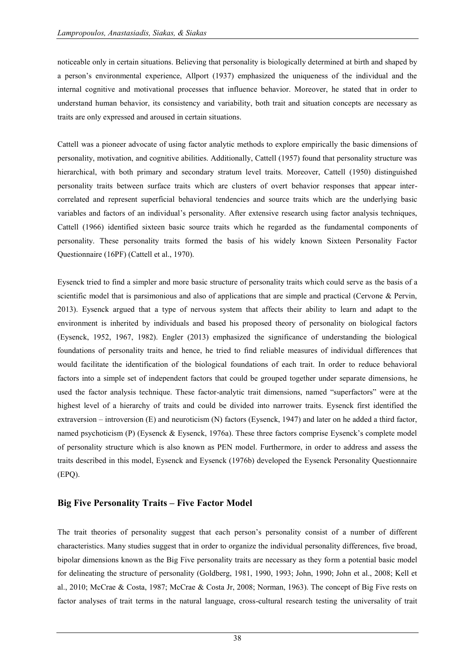noticeable only in certain situations. Believing that personality is biologically determined at birth and shaped by a person's environmental experience, Allport (1937) emphasized the uniqueness of the individual and the internal cognitive and motivational processes that influence behavior. Moreover, he stated that in order to understand human behavior, its consistency and variability, both trait and situation concepts are necessary as traits are only expressed and aroused in certain situations.

Cattell was a pioneer advocate of using factor analytic methods to explore empirically the basic dimensions of personality, motivation, and cognitive abilities. Additionally, Cattell (1957) found that personality structure was hierarchical, with both primary and secondary stratum level traits. Moreover, Cattell (1950) distinguished personality traits between surface traits which are clusters of overt behavior responses that appear intercorrelated and represent superficial behavioral tendencies and source traits which are the underlying basic variables and factors of an individual's personality. After extensive research using factor analysis techniques, Cattell (1966) identified sixteen basic source traits which he regarded as the fundamental components of personality. These personality traits formed the basis of his widely known Sixteen Personality Factor Questionnaire (16PF) (Cattell et al., 1970).

Eysenck tried to find a simpler and more basic structure of personality traits which could serve as the basis of a scientific model that is parsimonious and also of applications that are simple and practical (Cervone & Pervin, 2013). Eysenck argued that a type of nervous system that affects their ability to learn and adapt to the environment is inherited by individuals and based his proposed theory of personality on biological factors (Eysenck, 1952, 1967, 1982). Engler (2013) emphasized the significance of understanding the biological foundations of personality traits and hence, he tried to find reliable measures of individual differences that would facilitate the identification of the biological foundations of each trait. In order to reduce behavioral factors into a simple set of independent factors that could be grouped together under separate dimensions, he used the factor analysis technique. These factor-analytic trait dimensions, named "superfactors" were at the highest level of a hierarchy of traits and could be divided into narrower traits. Eysenck first identified the extraversion – introversion (E) and neuroticism (N) factors (Eysenck, 1947) and later on he added a third factor, named psychoticism (P) (Eysenck & Eysenck, 1976a). These three factors comprise Eysenck's complete model of personality structure which is also known as PEN model. Furthermore, in order to address and assess the traits described in this model, Eysenck and Eysenck (1976b) developed the Eysenck Personality Questionnaire (EPQ).

#### **Big Five Personality Traits – Five Factor Model**

The trait theories of personality suggest that each person's personality consist of a number of different characteristics. Many studies suggest that in order to organize the individual personality differences, five broad, bipolar dimensions known as the Big Five personality traits are necessary as they form a potential basic model for delineating the structure of personality (Goldberg, 1981, 1990, 1993; John, 1990; John et al., 2008; Kell et al., 2010; McCrae & Costa, 1987; McCrae & Costa Jr, 2008; Norman, 1963). The concept of Big Five rests on factor analyses of trait terms in the natural language, cross-cultural research testing the universality of trait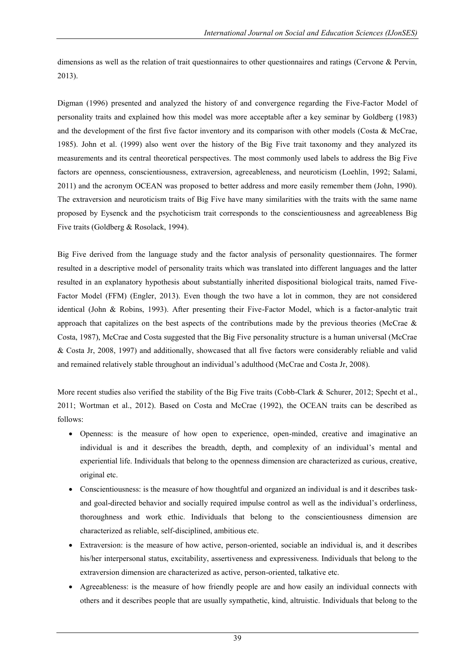dimensions as well as the relation of trait questionnaires to other questionnaires and ratings (Cervone & Pervin, 2013).

Digman (1996) presented and analyzed the history of and convergence regarding the Five-Factor Model of personality traits and explained how this model was more acceptable after a key seminar by Goldberg (1983) and the development of the first five factor inventory and its comparison with other models (Costa & McCrae, 1985). John et al. (1999) also went over the history of the Big Five trait taxonomy and they analyzed its measurements and its central theoretical perspectives. The most commonly used labels to address the Big Five factors are openness, conscientiousness, extraversion, agreeableness, and neuroticism (Loehlin, 1992; Salami, 2011) and the acronym OCEAN was proposed to better address and more easily remember them (John, 1990). The extraversion and neuroticism traits of Big Five have many similarities with the traits with the same name proposed by Eysenck and the psychoticism trait corresponds to the conscientiousness and agreeableness Big Five traits (Goldberg & Rosolack, 1994).

Big Five derived from the language study and the factor analysis of personality questionnaires. The former resulted in a descriptive model of personality traits which was translated into different languages and the latter resulted in an explanatory hypothesis about substantially inherited dispositional biological traits, named Five-Factor Model (FFM) (Engler, 2013). Even though the two have a lot in common, they are not considered identical (John & Robins, 1993). After presenting their Five-Factor Model, which is a factor-analytic trait approach that capitalizes on the best aspects of the contributions made by the previous theories (McCrae  $\&$ Costa, 1987), McCrae and Costa suggested that the Big Five personality structure is a human universal (McCrae & Costa Jr, 2008, 1997) and additionally, showcased that all five factors were considerably reliable and valid and remained relatively stable throughout an individual's adulthood (McCrae and Costa Jr, 2008).

More recent studies also verified the stability of the Big Five traits (Cobb-Clark & Schurer, 2012; Specht et al., 2011; Wortman et al., 2012). Based on Costa and McCrae (1992), the OCEAN traits can be described as follows:

- Openness: is the measure of how open to experience, open-minded, creative and imaginative an individual is and it describes the breadth, depth, and complexity of an individual's mental and experiential life. Individuals that belong to the openness dimension are characterized as curious, creative, original etc.
- Conscientiousness: is the measure of how thoughtful and organized an individual is and it describes taskand goal-directed behavior and socially required impulse control as well as the individual's orderliness, thoroughness and work ethic. Individuals that belong to the conscientiousness dimension are characterized as reliable, self-disciplined, ambitious etc.
- Extraversion: is the measure of how active, person-oriented, sociable an individual is, and it describes his/her interpersonal status, excitability, assertiveness and expressiveness. Individuals that belong to the extraversion dimension are characterized as active, person-oriented, talkative etc.
- Agreeableness: is the measure of how friendly people are and how easily an individual connects with others and it describes people that are usually sympathetic, kind, altruistic. Individuals that belong to the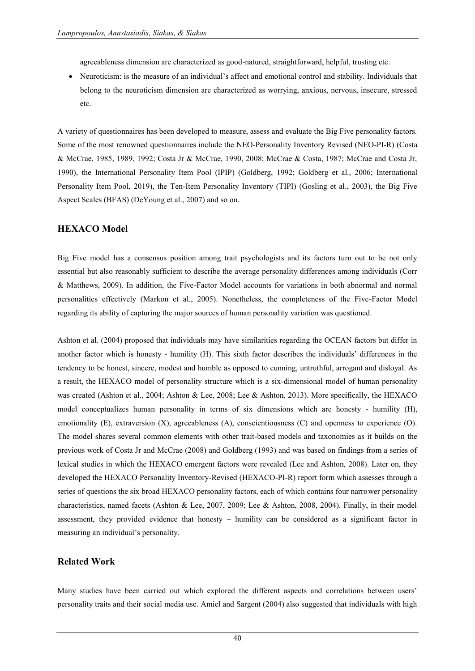agreeableness dimension are characterized as good-natured, straightforward, helpful, trusting etc.

 Neuroticism: is the measure of an individual's affect and emotional control and stability. Individuals that belong to the neuroticism dimension are characterized as worrying, anxious, nervous, insecure, stressed etc.

A variety of questionnaires has been developed to measure, assess and evaluate the Big Five personality factors. Some of the most renowned questionnaires include the NEO-Personality Inventory Revised (NEO-PI-R) (Costa & McCrae, 1985, 1989, 1992; Costa Jr & McCrae, 1990, 2008; McCrae & Costa, 1987; McCrae and Costa Jr, 1990), the International Personality Item Pool (IPIP) (Goldberg, 1992; Goldberg et al., 2006; International Personality Item Pool, 2019), the Ten-Item Personality Inventory (TIPI) (Gosling et al., 2003), the Big Five Aspect Scales (BFAS) (DeYoung et al., 2007) and so on.

#### **HEXACO Model**

Big Five model has a consensus position among trait psychologists and its factors turn out to be not only essential but also reasonably sufficient to describe the average personality differences among individuals (Corr & Matthews, 2009). In addition, the Five-Factor Model accounts for variations in both abnormal and normal personalities effectively (Markon et al., 2005). Nonetheless, the completeness of the Five-Factor Model regarding its ability of capturing the major sources of human personality variation was questioned.

Ashton et al. (2004) proposed that individuals may have similarities regarding the OCEAN factors but differ in another factor which is honesty - humility (H). This sixth factor describes the individuals' differences in the tendency to be honest, sincere, modest and humble as opposed to cunning, untruthful, arrogant and disloyal. As a result, the HEXACO model of personality structure which is a six-dimensional model of human personality was created (Ashton et al., 2004; Ashton & Lee, 2008; Lee & Ashton, 2013). More specifically, the HEXACO model conceptualizes human personality in terms of six dimensions which are honesty - humility (H), emotionality (E), extraversion (X), agreeableness (A), conscientiousness (C) and openness to experience (O). The model shares several common elements with other trait-based models and taxonomies as it builds on the previous work of Costa Jr and McCrae (2008) and Goldberg (1993) and was based on findings from a series of lexical studies in which the HEXACO emergent factors were revealed (Lee and Ashton, 2008). Later on, they developed the HEXACO Personality Inventory-Revised (HEXACO-PI-R) report form which assesses through a series of questions the six broad HEXACO personality factors, each of which contains four narrower personality characteristics, named facets (Ashton & Lee, 2007, 2009; Lee & Ashton, 2008, 2004). Finally, in their model assessment, they provided evidence that honesty – humility can be considered as a significant factor in measuring an individual's personality.

#### **Related Work**

Many studies have been carried out which explored the different aspects and correlations between users' personality traits and their social media use. Amiel and Sargent (2004) also suggested that individuals with high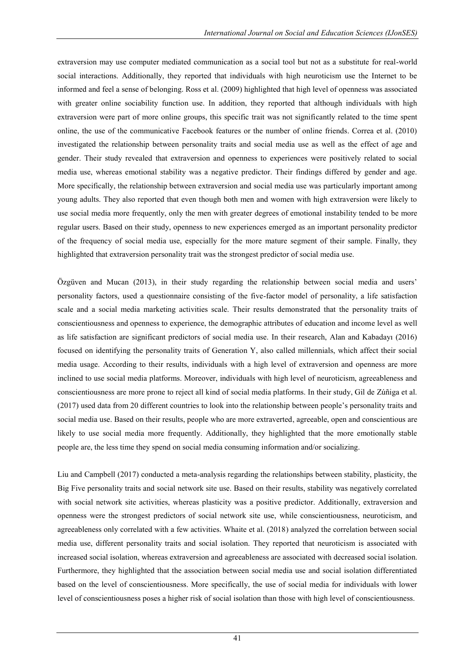extraversion may use computer mediated communication as a social tool but not as a substitute for real-world social interactions. Additionally, they reported that individuals with high neuroticism use the Internet to be informed and feel a sense of belonging. Ross et al. (2009) highlighted that high level of openness was associated with greater online sociability function use. In addition, they reported that although individuals with high extraversion were part of more online groups, this specific trait was not significantly related to the time spent online, the use of the communicative Facebook features or the number of online friends. Correa et al. (2010) investigated the relationship between personality traits and social media use as well as the effect of age and gender. Their study revealed that extraversion and openness to experiences were positively related to social media use, whereas emotional stability was a negative predictor. Their findings differed by gender and age. More specifically, the relationship between extraversion and social media use was particularly important among young adults. They also reported that even though both men and women with high extraversion were likely to use social media more frequently, only the men with greater degrees of emotional instability tended to be more regular users. Based on their study, openness to new experiences emerged as an important personality predictor of the frequency of social media use, especially for the more mature segment of their sample. Finally, they highlighted that extraversion personality trait was the strongest predictor of social media use.

Özgüven and Mucan (2013), in their study regarding the relationship between social media and users' personality factors, used a questionnaire consisting of the five-factor model of personality, a life satisfaction scale and a social media marketing activities scale. Their results demonstrated that the personality traits of conscientiousness and openness to experience, the demographic attributes of education and income level as well as life satisfaction are significant predictors of social media use. In their research, Alan and Kabadayı (2016) focused on identifying the personality traits of Generation Y, also called millennials, which affect their social media usage. According to their results, individuals with a high level of extraversion and openness are more inclined to use social media platforms. Moreover, individuals with high level of neuroticism, agreeableness and conscientiousness are more prone to reject all kind of social media platforms. In their study, Gil de Zúñiga et al. (2017) used data from 20 different countries to look into the relationship between people's personality traits and social media use. Based on their results, people who are more extraverted, agreeable, open and conscientious are likely to use social media more frequently. Additionally, they highlighted that the more emotionally stable people are, the less time they spend on social media consuming information and/or socializing.

Liu and Campbell (2017) conducted a meta-analysis regarding the relationships between stability, plasticity, the Big Five personality traits and social network site use. Based on their results, stability was negatively correlated with social network site activities, whereas plasticity was a positive predictor. Additionally, extraversion and openness were the strongest predictors of social network site use, while conscientiousness, neuroticism, and agreeableness only correlated with a few activities. Whaite et al. (2018) analyzed the correlation between social media use, different personality traits and social isolation. They reported that neuroticism is associated with increased social isolation, whereas extraversion and agreeableness are associated with decreased social isolation. Furthermore, they highlighted that the association between social media use and social isolation differentiated based on the level of conscientiousness. More specifically, the use of social media for individuals with lower level of conscientiousness poses a higher risk of social isolation than those with high level of conscientiousness.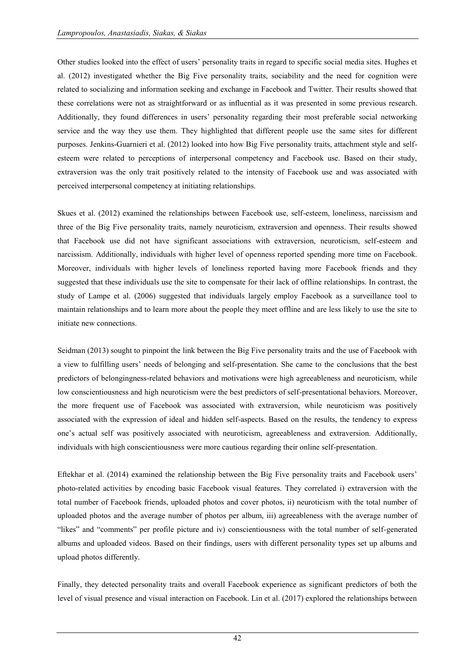Other studies looked into the effect of users' personality traits in regard to specific social media sites. Hughes et al. (2012) investigated whether the Big Five personality traits, sociability and the need for cognition were related to socializing and information seeking and exchange in Facebook and Twitter. Their results showed that these correlations were not as straightforward or as influential as it was presented in some previous research. Additionally, they found differences in users' personality regarding their most preferable social networking service and the way they use them. They highlighted that different people use the same sites for different purposes. Jenkins-Guarnieri et al. (2012) looked into how Big Five personality traits, attachment style and selfesteem were related to perceptions of interpersonal competency and Facebook use. Based on their study, extraversion was the only trait positively related to the intensity of Facebook use and was associated with perceived interpersonal competency at initiating relationships.

Skues et al. (2012) examined the relationships between Facebook use, self-esteem, loneliness, narcissism and three of the Big Five personality traits, namely neuroticism, extraversion and openness. Their results showed that Facebook use did not have significant associations with extraversion, neuroticism, self-esteem and narcissism. Additionally, individuals with higher level of openness reported spending more time on Facebook. Moreover, individuals with higher levels of loneliness reported having more Facebook friends and they suggested that these individuals use the site to compensate for their lack of offline relationships. In contrast, the study of Lampe et al. (2006) suggested that individuals largely employ Facebook as a surveillance tool to maintain relationships and to learn more about the people they meet offline and are less likely to use the site to initiate new connections.

Seidman (2013) sought to pinpoint the link between the Big Five personality traits and the use of Facebook with a view to fulfilling users' needs of belonging and self-presentation. She came to the conclusions that the best predictors of belongingness-related behaviors and motivations were high agreeableness and neuroticism, while low conscientiousness and high neuroticism were the best predictors of self-presentational behaviors. Moreover, the more frequent use of Facebook was associated with extraversion, while neuroticism was positively associated with the expression of ideal and hidden self-aspects. Based on the results, the tendency to express one's actual self was positively associated with neuroticism, agreeableness and extraversion. Additionally, individuals with high conscientiousness were more cautious regarding their online self-presentation.

Eftekhar et al. (2014) examined the relationship between the Big Five personality traits and Facebook users' photo-related activities by encoding basic Facebook visual features. They correlated i) extraversion with the total number of Facebook friends, uploaded photos and cover photos, ii) neuroticism with the total number of uploaded photos and the average number of photos per album, iii) agreeableness with the average number of "likes" and "comments" per profile picture and iv) conscientiousness with the total number of self-generated albums and uploaded videos. Based on their findings, users with different personality types set up albums and upload photos differently.

Finally, they detected personality traits and overall Facebook experience as significant predictors of both the level of visual presence and visual interaction on Facebook. Lin et al. (2017) explored the relationships between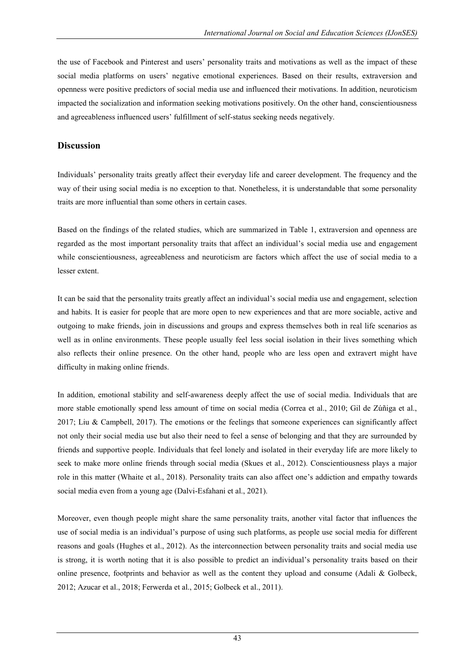the use of Facebook and Pinterest and users' personality traits and motivations as well as the impact of these social media platforms on users' negative emotional experiences. Based on their results, extraversion and openness were positive predictors of social media use and influenced their motivations. In addition, neuroticism impacted the socialization and information seeking motivations positively. On the other hand, conscientiousness and agreeableness influenced users' fulfillment of self-status seeking needs negatively.

#### **Discussion**

Individuals' personality traits greatly affect their everyday life and career development. The frequency and the way of their using social media is no exception to that. Nonetheless, it is understandable that some personality traits are more influential than some others in certain cases.

Based on the findings of the related studies, which are summarized in Table 1, extraversion and openness are regarded as the most important personality traits that affect an individual's social media use and engagement while conscientiousness, agreeableness and neuroticism are factors which affect the use of social media to a lesser extent.

It can be said that the personality traits greatly affect an individual's social media use and engagement, selection and habits. It is easier for people that are more open to new experiences and that are more sociable, active and outgoing to make friends, join in discussions and groups and express themselves both in real life scenarios as well as in online environments. These people usually feel less social isolation in their lives something which also reflects their online presence. On the other hand, people who are less open and extravert might have difficulty in making online friends.

In addition, emotional stability and self-awareness deeply affect the use of social media. Individuals that are more stable emotionally spend less amount of time on social media (Correa et al., 2010; Gil de Zúñiga et al., 2017; Liu & Campbell, 2017). The emotions or the feelings that someone experiences can significantly affect not only their social media use but also their need to feel a sense of belonging and that they are surrounded by friends and supportive people. Individuals that feel lonely and isolated in their everyday life are more likely to seek to make more online friends through social media (Skues et al., 2012). Conscientiousness plays a major role in this matter (Whaite et al., 2018). Personality traits can also affect one's addiction and empathy towards social media even from a young age (Dalvi-Esfahani et al., 2021).

Moreover, even though people might share the same personality traits, another vital factor that influences the use of social media is an individual's purpose of using such platforms, as people use social media for different reasons and goals (Hughes et al., 2012). As the interconnection between personality traits and social media use is strong, it is worth noting that it is also possible to predict an individual's personality traits based on their online presence, footprints and behavior as well as the content they upload and consume (Adali  $\&$  Golbeck, 2012; Azucar et al., 2018; Ferwerda et al., 2015; Golbeck et al., 2011).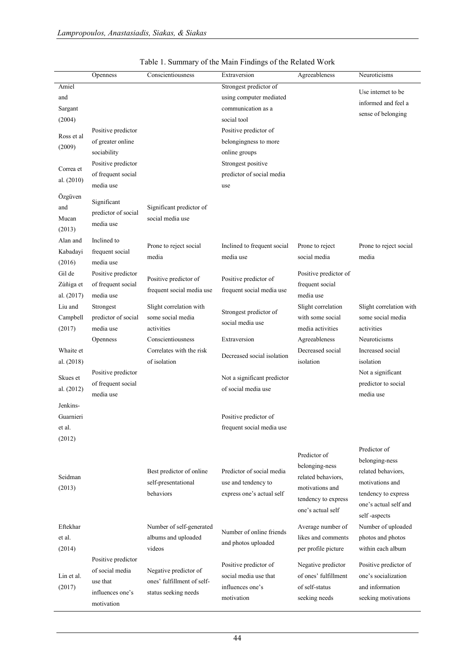|                                                                                      | Openness                                                                                                        | Conscientiousness                                                               | Extraversion                                                                                                                                                                                                        | Agreeableness                                                                                                       | Neuroticisms                                                                                                                            |
|--------------------------------------------------------------------------------------|-----------------------------------------------------------------------------------------------------------------|---------------------------------------------------------------------------------|---------------------------------------------------------------------------------------------------------------------------------------------------------------------------------------------------------------------|---------------------------------------------------------------------------------------------------------------------|-----------------------------------------------------------------------------------------------------------------------------------------|
| Amiel<br>and<br>Sargant<br>(2004)<br>Ross et al<br>(2009)<br>Correa et<br>al. (2010) | Positive predictor<br>of greater online<br>sociability<br>Positive predictor<br>of frequent social<br>media use |                                                                                 | Strongest predictor of<br>using computer mediated<br>communication as a<br>social tool<br>Positive predictor of<br>belongingness to more<br>online groups<br>Strongest positive<br>predictor of social media<br>use |                                                                                                                     | Use internet to be<br>informed and feel a<br>sense of belonging                                                                         |
| Özgüven<br>and<br>Mucan<br>(2013)                                                    | Significant<br>predictor of social<br>media use                                                                 | Significant predictor of<br>social media use                                    |                                                                                                                                                                                                                     |                                                                                                                     |                                                                                                                                         |
| Alan and<br>Kabadayi<br>(2016)<br>Gil de                                             | Inclined to<br>frequent social<br>media use<br>Positive predictor                                               | Prone to reject social<br>media                                                 | Inclined to frequent social<br>media use                                                                                                                                                                            | Prone to reject<br>social media<br>Positive predictor of                                                            | Prone to reject social<br>media                                                                                                         |
| Zúñiga et<br>al. $(2017)$                                                            | of frequent social<br>media use                                                                                 | Positive predictor of<br>frequent social media use                              | Positive predictor of<br>frequent social media use                                                                                                                                                                  | frequent social<br>media use                                                                                        |                                                                                                                                         |
| Liu and<br>Campbell<br>(2017)                                                        | Strongest<br>predictor of social<br>media use<br>Openness                                                       | Slight correlation with<br>some social media<br>activities<br>Conscientiousness | Strongest predictor of<br>social media use<br>Extraversion                                                                                                                                                          | Slight correlation<br>with some social<br>media activities<br>Agreeableness                                         | Slight correlation with<br>some social media<br>activities<br>Neuroticisms                                                              |
| Whaite et<br>al. (2018)                                                              |                                                                                                                 | Correlates with the risk<br>of isolation                                        | Decreased social isolation                                                                                                                                                                                          | Decreased social<br>isolation                                                                                       | Increased social<br>isolation                                                                                                           |
| Skues et<br>al. $(2012)$                                                             | Positive predictor<br>of frequent social<br>media use                                                           |                                                                                 | Not a significant predictor<br>of social media use                                                                                                                                                                  |                                                                                                                     | Not a significant<br>predictor to social<br>media use                                                                                   |
| Jenkins-<br>Guarnieri<br>et al.<br>(2012)                                            |                                                                                                                 |                                                                                 | Positive predictor of<br>frequent social media use                                                                                                                                                                  |                                                                                                                     |                                                                                                                                         |
| Seidman<br>(2013)                                                                    |                                                                                                                 | Best predictor of online<br>self-presentational<br>behaviors                    | Predictor of social media<br>use and tendency to<br>express one's actual self                                                                                                                                       | Predictor of<br>belonging-ness<br>related behaviors,<br>motivations and<br>tendency to express<br>one's actual self | Predictor of<br>belonging-ness<br>related behaviors,<br>motivations and<br>tendency to express<br>one's actual self and<br>self-aspects |
| Eftekhar<br>et al.<br>(2014)                                                         |                                                                                                                 | Number of self-generated<br>albums and uploaded<br>videos                       | Number of online friends<br>and photos uploaded                                                                                                                                                                     | Average number of<br>likes and comments<br>per profile picture                                                      | Number of uploaded<br>photos and photos<br>within each album                                                                            |
| Lin et al.<br>(2017)                                                                 | Positive predictor<br>of social media<br>use that<br>influences one's<br>motivation                             | Negative predictor of<br>ones' fulfillment of self-<br>status seeking needs     | Positive predictor of<br>social media use that<br>influences one's<br>motivation                                                                                                                                    | Negative predictor<br>of ones' fulfillment<br>of self-status<br>seeking needs                                       | Positive predictor of<br>one's socialization<br>and information<br>seeking motivations                                                  |

|  | Table 1. Summary of the Main Findings of the Related Work |  |  |  |
|--|-----------------------------------------------------------|--|--|--|
|  |                                                           |  |  |  |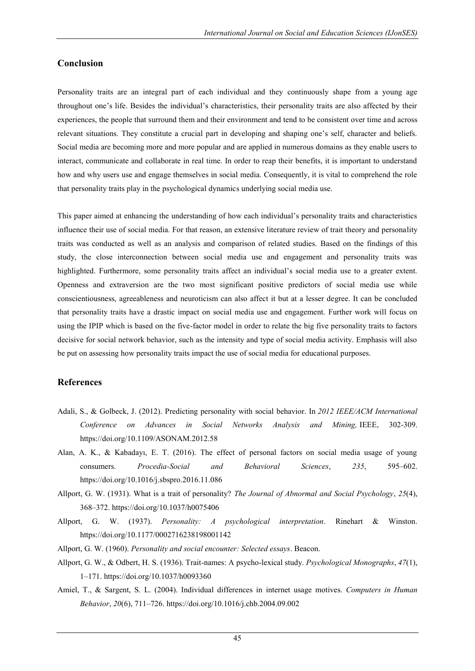#### **Conclusion**

Personality traits are an integral part of each individual and they continuously shape from a young age throughout one's life. Besides the individual's characteristics, their personality traits are also affected by their experiences, the people that surround them and their environment and tend to be consistent over time and across relevant situations. They constitute a crucial part in developing and shaping one's self, character and beliefs. Social media are becoming more and more popular and are applied in numerous domains as they enable users to interact, communicate and collaborate in real time. In order to reap their benefits, it is important to understand how and why users use and engage themselves in social media. Consequently, it is vital to comprehend the role that personality traits play in the psychological dynamics underlying social media use.

This paper aimed at enhancing the understanding of how each individual's personality traits and characteristics influence their use of social media. For that reason, an extensive literature review of trait theory and personality traits was conducted as well as an analysis and comparison of related studies. Based on the findings of this study, the close interconnection between social media use and engagement and personality traits was highlighted. Furthermore, some personality traits affect an individual's social media use to a greater extent. Openness and extraversion are the two most significant positive predictors of social media use while conscientiousness, agreeableness and neuroticism can also affect it but at a lesser degree. It can be concluded that personality traits have a drastic impact on social media use and engagement. Further work will focus on using the IPIP which is based on the five-factor model in order to relate the big five personality traits to factors decisive for social network behavior, such as the intensity and type of social media activity. Emphasis will also be put on assessing how personality traits impact the use of social media for educational purposes.

#### **References**

- Adali, S., & Golbeck, J. (2012). Predicting personality with social behavior. In *2012 IEEE/ACM International Conference on Advances in Social Networks Analysis and Mining,* IEEE, 302-309. <https://doi.org/10.1109/ASONAM.2012.58>
- Alan, A. K., & Kabadayı, E. T. (2016). The effect of personal factors on social media usage of young consumers. *Procedia-Social and Behavioral Sciences*, *235*, 595–602. <https://doi.org/10.1016/j.sbspro.2016.11.086>
- Allport, G. W. (1931). What is a trait of personality? *The Journal of Abnormal and Social Psychology*, *25*(4), 368–372.<https://doi.org/10.1037/h0075406>
- Allport, G. W. (1937). *Personality: A psychological interpretation*. Rinehart & Winston. <https://doi.org/10.1177/0002716238198001142>
- Allport, G. W. (1960). *Personality and social encounter: Selected essays*. Beacon.
- Allport, G. W., & Odbert, H. S. (1936). Trait-names: A psycho-lexical study. *Psychological Monographs*, *47*(1), 1–171.<https://doi.org/10.1037/h0093360>
- Amiel, T., & Sargent, S. L. (2004). Individual differences in internet usage motives. *Computers in Human Behavior*, *20*(6), 711–726[. https://doi.org/10.1016/j.chb.2004.09.002](https://doi.org/10.1016/j.chb.2004.09.002)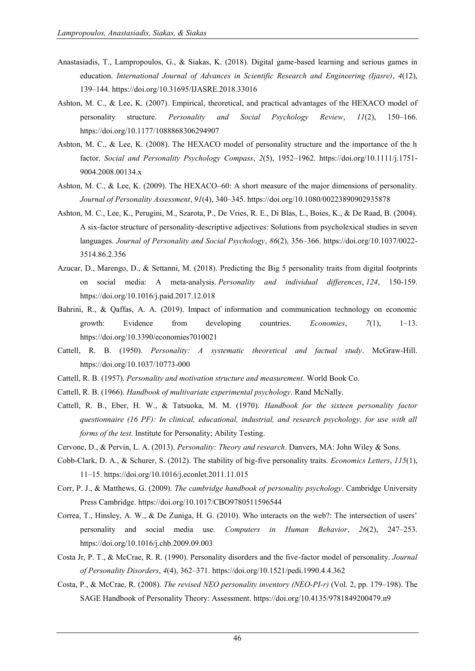- Anastasiadis, T., Lampropoulos, G., & Siakas, K. (2018). Digital game-based learning and serious games in education. *International Journal of Advances in Scientific Research and Engineering (Ijasre)*, *4*(12), 139–144.<https://doi.org/10.31695/IJASRE.2018.33016>
- Ashton, M. C., & Lee, K. (2007). Empirical, theoretical, and practical advantages of the HEXACO model of personality structure. *Personality and Social Psychology Review*, *11*(2), 150–166. <https://doi.org/10.1177/1088868306294907>
- Ashton, M. C., & Lee, K. (2008). The HEXACO model of personality structure and the importance of the h factor. *Social and Personality Psychology Compass*, *2*(5), 1952–1962. [https://doi.org/10.1111/j.1751-](https://doi.org/10.1111/j.1751-9004.2008.00134.x) [9004.2008.00134.x](https://doi.org/10.1111/j.1751-9004.2008.00134.x)
- Ashton, M. C., & Lee, K. (2009). The HEXACO–60: A short measure of the major dimensions of personality. *Journal of Personality Assessment*, *91*(4), 340–345.<https://doi.org/10.1080/00223890902935878>
- Ashton, M. C., Lee, K., Perugini, M., Szarota, P., De Vries, R. E., Di Blas, L., Boies, K., & De Raad, B. (2004). A six-factor structure of personality-descriptive adjectives: Solutions from psycholexical studies in seven languages. *Journal of Personality and Social Psychology*, *86*(2), 356–366. [https://doi.org/10.1037/0022-](https://doi.org/10.1037/0022-3514.86.2.356) [3514.86.2.356](https://doi.org/10.1037/0022-3514.86.2.356)
- Azucar, D., Marengo, D., & Settanni, M. (2018). Predicting the Big 5 personality traits from digital footprints on social media: A meta-analysis. *Personality and individual differences*, *124*, 150-159. <https://doi.org/10.1016/j.paid.2017.12.018>
- Bahrini, R., & Qaffas, A. A. (2019). Impact of information and communication technology on economic growth: Evidence from developing countries. *Economies*, *7*(1), 1–13. <https://doi.org/10.3390/economies7010021>
- Cattell, R. B. (1950). *Personality: A systematic theoretical and factual study*. McGraw-Hill. <https://doi.org/10.1037/10773-000>
- Cattell, R. B. (1957). *Personality and motivation structure and measurement*. World Book Co.
- Cattell, R. B. (1966). *Handbook of multivariate experimental psychology*. Rand McNally.
- Cattell, R. B., Eber, H. W., & Tatsuoka, M. M. (1970). *Handbook for the sixteen personality factor questionnaire (16 PF): In clinical, educational, industrial, and research psychology, for use with all forms of the test*. Institute for Personality; Ability Testing.
- Cervone, D., & Pervin, L. A. (2013). *Personality: Theory and research*. Danvers, MA: John Wiley & Sons.
- Cobb-Clark, D. A., & Schurer, S. (2012). The stability of big-five personality traits. *Economics Letters*, *115*(1), 11–15.<https://doi.org/10.1016/j.econlet.2011.11.015>
- Corr, P. J., & Matthews, G. (2009). *The cambridge handbook of personality psychology*. Cambridge University Press Cambridge.<https://doi.org/10.1017/CBO9780511596544>
- Correa, T., Hinsley, A. W., & De Zuniga, H. G. (2010). Who interacts on the web?: The intersection of users' personality and social media use. *Computers in Human Behavior*, *26*(2), 247–253. <https://doi.org/10.1016/j.chb.2009.09.003>
- Costa Jr, P. T., & McCrae, R. R. (1990). Personality disorders and the five-factor model of personality. *Journal of Personality Disorders*, *4*(4), 362–371.<https://doi.org/10.1521/pedi.1990.4.4.362>
- Costa, P., & McCrae, R. (2008). *The revised NEO personality inventory (NEO-PI-r)* (Vol. 2, pp. 179–198). The SAGE Handbook of Personality Theory: Assessment.<https://doi.org/10.4135/9781849200479.n9>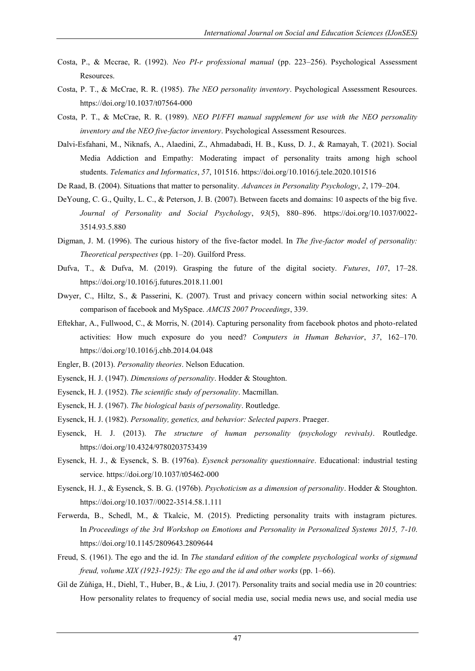- Costa, P., & Mccrae, R. (1992). *Neo PI-r professional manual* (pp. 223–256). Psychological Assessment Resources.
- Costa, P. T., & McCrae, R. R. (1985). *The NEO personality inventory*. Psychological Assessment Resources. <https://doi.org/10.1037/t07564-000>
- Costa, P. T., & McCrae, R. R. (1989). *NEO PI/FFI manual supplement for use with the NEO personality inventory and the NEO five-factor inventory*. Psychological Assessment Resources.
- Dalvi-Esfahani, M., Niknafs, A., Alaedini, Z., Ahmadabadi, H. B., Kuss, D. J., & Ramayah, T. (2021). Social Media Addiction and Empathy: Moderating impact of personality traits among high school students. *Telematics and Informatics*, *57*, 101516[. https://doi.org/10.1016/j.tele.2020.101516](https://doi.org/10.1016/j.tele.2020.101516)
- De Raad, B. (2004). Situations that matter to personality. *Advances in Personality Psychology*, *2*, 179–204.
- DeYoung, C. G., Quilty, L. C., & Peterson, J. B. (2007). Between facets and domains: 10 aspects of the big five. *Journal of Personality and Social Psychology*, *93*(5), 880–896. [https://doi.org/10.1037/0022-](https://doi.org/10.1037/0022-3514.93.5.880) [3514.93.5.880](https://doi.org/10.1037/0022-3514.93.5.880)
- Digman, J. M. (1996). The curious history of the five-factor model. In *The five-factor model of personality: Theoretical perspectives* (pp. 1–20). Guilford Press.
- Dufva, T., & Dufva, M. (2019). Grasping the future of the digital society. *Futures*, *107*, 17–28. <https://doi.org/10.1016/j.futures.2018.11.001>
- Dwyer, C., Hiltz, S., & Passerini, K. (2007). Trust and privacy concern within social networking sites: A comparison of facebook and MySpace. *AMCIS 2007 Proceedings*, 339.
- Eftekhar, A., Fullwood, C., & Morris, N. (2014). Capturing personality from facebook photos and photo-related activities: How much exposure do you need? *Computers in Human Behavior*, *37*, 162–170. <https://doi.org/10.1016/j.chb.2014.04.048>
- Engler, B. (2013). *Personality theories*. Nelson Education.
- Eysenck, H. J. (1947). *Dimensions of personality*. Hodder & Stoughton.
- Eysenck, H. J. (1952). *The scientific study of personality*. Macmillan.
- Eysenck, H. J. (1967). *The biological basis of personality*. Routledge.
- Eysenck, H. J. (1982). *Personality, genetics, and behavior: Selected papers*. Praeger.
- Eysenck, H. J. (2013). *The structure of human personality (psychology revivals)*. Routledge. <https://doi.org/10.4324/9780203753439>
- Eysenck, H. J., & Eysenck, S. B. (1976a). *Eysenck personality questionnaire*. Educational: industrial testing service.<https://doi.org/10.1037/t05462-000>
- Eysenck, H. J., & Eysenck, S. B. G. (1976b). *Psychoticism as a dimension of personality*. Hodder & Stoughton. [https://doi.org/10.1037//0022-3514.58.1.111](https://doi.org/10.1037/0022-3514.58.1.111)
- Ferwerda, B., Schedl, M., & Tkalcic, M. (2015). Predicting personality traits with instagram pictures. In *Proceedings of the 3rd Workshop on Emotions and Personality in Personalized Systems 2015, 7-10*. <https://doi.org/10.1145/2809643.2809644>
- Freud, S. (1961). The ego and the id. In *The standard edition of the complete psychological works of sigmund freud, volume XIX (1923-1925): The ego and the id and other works* (pp. 1–66).
- Gil de Zúñiga, H., Diehl, T., Huber, B., & Liu, J. (2017). Personality traits and social media use in 20 countries: How personality relates to frequency of social media use, social media news use, and social media use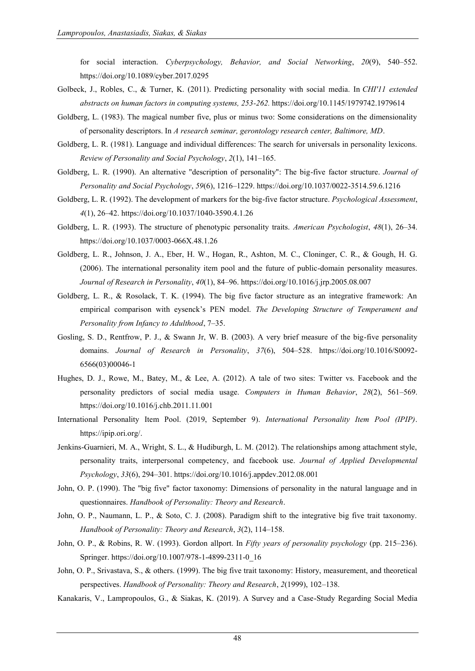for social interaction. *Cyberpsychology, Behavior, and Social Networking*, *20*(9), 540–552. <https://doi.org/10.1089/cyber.2017.0295>

- Golbeck, J., Robles, C., & Turner, K. (2011). Predicting personality with social media. In *CHI'11 extended abstracts on human factors in computing systems, 253-262.* <https://doi.org/10.1145/1979742.1979614>
- Goldberg, L. (1983). The magical number five, plus or minus two: Some considerations on the dimensionality of personality descriptors. In *A research seminar, gerontology research center, Baltimore, MD*.
- Goldberg, L. R. (1981). Language and individual differences: The search for universals in personality lexicons. *Review of Personality and Social Psychology*, *2*(1), 141–165.
- Goldberg, L. R. (1990). An alternative "description of personality": The big-five factor structure. *Journal of Personality and Social Psychology*, *59*(6), 1216–1229[. https://doi.org/10.1037/0022-3514.59.6.1216](https://doi.org/10.1037/0022-3514.59.6.1216)
- Goldberg, L. R. (1992). The development of markers for the big-five factor structure. *Psychological Assessment*, *4*(1), 26–42.<https://doi.org/10.1037/1040-3590.4.1.26>
- Goldberg, L. R. (1993). The structure of phenotypic personality traits. *American Psychologist*, *48*(1), 26–34. <https://doi.org/10.1037/0003-066X.48.1.26>
- Goldberg, L. R., Johnson, J. A., Eber, H. W., Hogan, R., Ashton, M. C., Cloninger, C. R., & Gough, H. G. (2006). The international personality item pool and the future of public-domain personality measures. *Journal of Research in Personality*, *40*(1), 84–96.<https://doi.org/10.1016/j.jrp.2005.08.007>
- Goldberg, L. R., & Rosolack, T. K. (1994). The big five factor structure as an integrative framework: An empirical comparison with eysenck's PEN model. *The Developing Structure of Temperament and Personality from Infancy to Adulthood*, 7–35.
- Gosling, S. D., Rentfrow, P. J., & Swann Jr, W. B. (2003). A very brief measure of the big-five personality domains. *Journal of Research in Personality*, *37*(6), 504–528. [https://doi.org/10.1016/S0092-](https://doi.org/10.1016/S0092-6566(03)00046-1) [6566\(03\)00046-1](https://doi.org/10.1016/S0092-6566(03)00046-1)
- Hughes, D. J., Rowe, M., Batey, M., & Lee, A. (2012). A tale of two sites: Twitter vs. Facebook and the personality predictors of social media usage. *Computers in Human Behavior*, *28*(2), 561–569. <https://doi.org/10.1016/j.chb.2011.11.001>
- International Personality Item Pool. (2019, September 9). *International Personality Item Pool (IPIP)*. [https://ipip.ori.org/.](https://ipip.ori.org/)
- Jenkins-Guarnieri, M. A., Wright, S. L., & Hudiburgh, L. M. (2012). The relationships among attachment style, personality traits, interpersonal competency, and facebook use. *Journal of Applied Developmental Psychology*, *33*(6), 294–301.<https://doi.org/10.1016/j.appdev.2012.08.001>
- John, O. P. (1990). The "big five" factor taxonomy: Dimensions of personality in the natural language and in questionnaires. *Handbook of Personality: Theory and Research*.
- John, O. P., Naumann, L. P., & Soto, C. J. (2008). Paradigm shift to the integrative big five trait taxonomy. *Handbook of Personality: Theory and Research*, *3*(2), 114–158.
- John, O. P., & Robins, R. W. (1993). Gordon allport. In *Fifty years of personality psychology* (pp. 215–236). Springer. [https://doi.org/10.1007/978-1-4899-2311-0\\_16](https://doi.org/10.1007/978-1-4899-2311-0_16)
- John, O. P., Srivastava, S., & others. (1999). The big five trait taxonomy: History, measurement, and theoretical perspectives. *Handbook of Personality: Theory and Research*, *2*(1999), 102–138.
- Kanakaris, V., Lampropoulos, G., & Siakas, K. (2019). A Survey and a Case-Study Regarding Social Media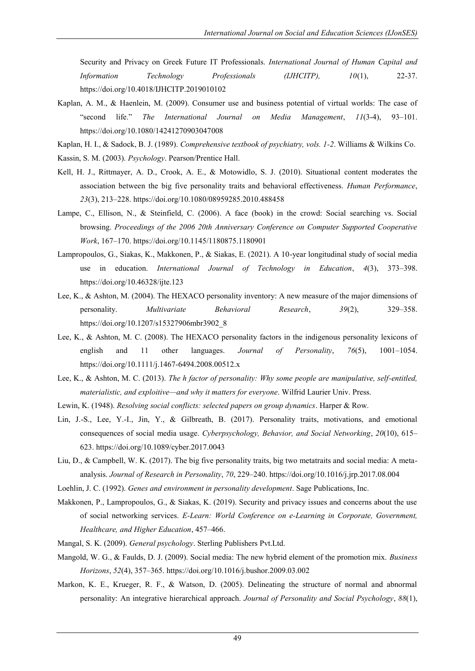Security and Privacy on Greek Future IT Professionals. *International Journal of Human Capital and Information Technology Professionals (IJHCITP), 10*(1), 22-37. <https://doi.org/10.4018/IJHCITP.2019010102>

- Kaplan, A. M., & Haenlein, M. (2009). Consumer use and business potential of virtual worlds: The case of "second life." *The International Journal on Media Management*, *11*(3-4), 93–101. <https://doi.org/10.1080/14241270903047008>
- Kaplan, H. I., & Sadock, B. J. (1989). *Comprehensive textbook of psychiatry, vols. 1-2*. Williams & Wilkins Co.
- Kassin, S. M. (2003). *Psychology*. Pearson/Prentice Hall.
- Kell, H. J., Rittmayer, A. D., Crook, A. E., & Motowidlo, S. J. (2010). Situational content moderates the association between the big five personality traits and behavioral effectiveness. *Human Performance*, *23*(3), 213–228.<https://doi.org/10.1080/08959285.2010.488458>
- Lampe, C., Ellison, N., & Steinfield, C. (2006). A face (book) in the crowd: Social searching vs. Social browsing. *Proceedings of the 2006 20th Anniversary Conference on Computer Supported Cooperative Work*, 167–170.<https://doi.org/10.1145/1180875.1180901>
- Lampropoulos, G., Siakas, K., Makkonen, P., & Siakas, E. (2021). A 10-year longitudinal study of social media use in education. *International Journal of Technology in Education*, *4*(3), 373–398. <https://doi.org/10.46328/ijte.123>
- Lee, K., & Ashton, M. (2004). The HEXACO personality inventory: A new measure of the major dimensions of personality. *Multivariate Behavioral Research*, *39*(2), 329–358. [https://doi.org/10.1207/s15327906mbr3902\\_8](https://doi.org/10.1207/s15327906mbr3902_8)
- Lee, K., & Ashton, M. C. (2008). The HEXACO personality factors in the indigenous personality lexicons of english and 11 other languages. *Journal of Personality*, *76*(5), 1001–1054. <https://doi.org/10.1111/j.1467-6494.2008.00512.x>
- Lee, K., & Ashton, M. C. (2013). *The h factor of personality: Why some people are manipulative, self-entitled, materialistic, and exploitive—and why it matters for everyone*. Wilfrid Laurier Univ. Press.
- Lewin, K. (1948). *Resolving social conflicts: selected papers on group dynamics*. Harper & Row.
- Lin, J.-S., Lee, Y.-I., Jin, Y., & Gilbreath, B. (2017). Personality traits, motivations, and emotional consequences of social media usage. *Cyberpsychology, Behavior, and Social Networking*, *20*(10), 615– 623.<https://doi.org/10.1089/cyber.2017.0043>
- Liu, D., & Campbell, W. K. (2017). The big five personality traits, big two metatraits and social media: A metaanalysis. *Journal of Research in Personality*, *70*, 229–240[. https://doi.org/10.1016/j.jrp.2017.08.004](https://doi.org/10.1016/j.jrp.2017.08.004)
- Loehlin, J. C. (1992). *Genes and environment in personality development*. Sage Publications, Inc.
- Makkonen, P., Lampropoulos, G., & Siakas, K. (2019). Security and privacy issues and concerns about the use of social networking services. *E-Learn: World Conference on e-Learning in Corporate, Government, Healthcare, and Higher Education*, 457–466.
- Mangal, S. K. (2009). *General psychology*. Sterling Publishers Pvt.Ltd.
- Mangold, W. G., & Faulds, D. J. (2009). Social media: The new hybrid element of the promotion mix. *Business Horizons*, *52*(4), 357–365[. https://doi.org/10.1016/j.bushor.2009.03.002](https://doi.org/10.1016/j.bushor.2009.03.002)
- Markon, K. E., Krueger, R. F., & Watson, D. (2005). Delineating the structure of normal and abnormal personality: An integrative hierarchical approach. *Journal of Personality and Social Psychology*, *88*(1),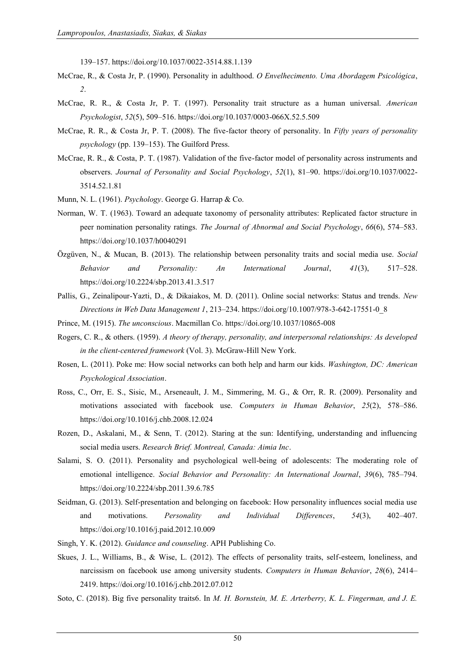139–157.<https://doi.org/10.1037/0022-3514.88.1.139>

- McCrae, R., & Costa Jr, P. (1990). Personality in adulthood. *O Envelhecimento. Uma Abordagem Psicológica*, *2*.
- McCrae, R. R., & Costa Jr, P. T. (1997). Personality trait structure as a human universal. *American Psychologist*, *52*(5), 509–516.<https://doi.org/10.1037/0003-066X.52.5.509>
- McCrae, R. R., & Costa Jr, P. T. (2008). The five-factor theory of personality. In *Fifty years of personality psychology* (pp. 139–153). The Guilford Press.
- McCrae, R. R., & Costa, P. T. (1987). Validation of the five-factor model of personality across instruments and observers. *Journal of Personality and Social Psychology*, *52*(1), 81–90. [https://doi.org/10.1037/0022-](https://doi.org/10.1037/0022-3514.52.1.81) [3514.52.1.81](https://doi.org/10.1037/0022-3514.52.1.81)
- Munn, N. L. (1961). *Psychology*. George G. Harrap & Co.
- Norman, W. T. (1963). Toward an adequate taxonomy of personality attributes: Replicated factor structure in peer nomination personality ratings. *The Journal of Abnormal and Social Psychology*, *66*(6), 574–583. <https://doi.org/10.1037/h0040291>
- Özgüven, N., & Mucan, B. (2013). The relationship between personality traits and social media use. *Social Behavior and Personality: An International Journal*, *41*(3), 517–528. <https://doi.org/10.2224/sbp.2013.41.3.517>
- Pallis, G., Zeinalipour-Yazti, D., & Dikaiakos, M. D. (2011). Online social networks: Status and trends. *New Directions in Web Data Management 1*, 213–234. [https://doi.org/10.1007/978-3-642-17551-0\\_8](https://doi.org/10.1007/978-3-642-17551-0_8)
- Prince, M. (1915). *The unconscious*. Macmillan Co.<https://doi.org/10.1037/10865-008>
- Rogers, C. R., & others. (1959). *A theory of therapy, personality, and interpersonal relationships: As developed in the client-centered framework* (Vol. 3). McGraw-Hill New York.
- Rosen, L. (2011). Poke me: How social networks can both help and harm our kids. *Washington, DC: American Psychological Association*.
- Ross, C., Orr, E. S., Sisic, M., Arseneault, J. M., Simmering, M. G., & Orr, R. R. (2009). Personality and motivations associated with facebook use. *Computers in Human Behavior*, *25*(2), 578–586. <https://doi.org/10.1016/j.chb.2008.12.024>
- Rozen, D., Askalani, M., & Senn, T. (2012). Staring at the sun: Identifying, understanding and influencing social media users. *Research Brief. Montreal, Canada: Aimia Inc*.
- Salami, S. O. (2011). Personality and psychological well-being of adolescents: The moderating role of emotional intelligence. *Social Behavior and Personality: An International Journal*, *39*(6), 785–794. <https://doi.org/10.2224/sbp.2011.39.6.785>
- Seidman, G. (2013). Self-presentation and belonging on facebook: How personality influences social media use and motivations. *Personality and Individual Differences*, *54*(3), 402–407. <https://doi.org/10.1016/j.paid.2012.10.009>
- Singh, Y. K. (2012). *Guidance and counseling*. APH Publishing Co.
- Skues, J. L., Williams, B., & Wise, L. (2012). The effects of personality traits, self-esteem, loneliness, and narcissism on facebook use among university students. *Computers in Human Behavior*, *28*(6), 2414– 2419.<https://doi.org/10.1016/j.chb.2012.07.012>
- Soto, C. (2018). Big five personality traits6. In *M. H. Bornstein, M. E. Arterberry, K. L. Fingerman, and J. E.*